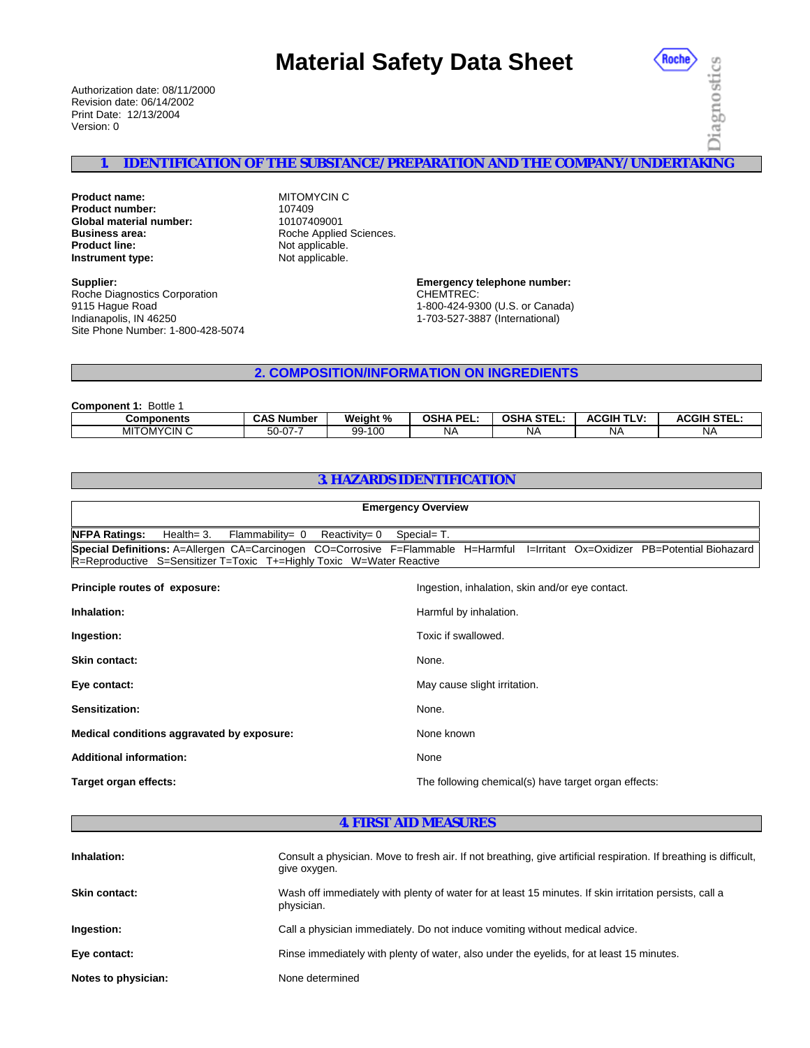# **Material Safety Data Sheet**

Authorization date: 08/11/2000 Revision date: 06/14/2002 Print Date: 12/13/2004 Version: 0

Roche Diagnostics

# **1. IDENTIFICATION OF THE SUBSTANCE/PREPARATION AND THE COMPANY/UNDERTAKING**

**Product name:** MITOMYCIN C<br> **Product number:** MITOMYCIN C **Product number:** 107409<br> **Global material number:** 10107409001 **Global material number: Business area:** The Sciences Roche Applied Sciences.<br> **Product line:** The Roche Applicable. **Instrument type:** Not applicable.

**Supplier:** Roche Diagnostics Corporation 9115 Hague Road Indianapolis, IN 46250 Site Phone Number: 1-800-428-5074 Not applicable.

**Emergency telephone number:** CHEMTREC: 1-800-424-9300 (U.S. or Canada) 1-703-527-3887 (International)

**2. COMPOSITION/INFORMATION ON INGREDIENTS**

| <b>Component 1: Bottle 1</b> |  |
|------------------------------|--|
|------------------------------|--|

| <b>Components</b>  | $\sim$ $\sim$ $\sim$ $\sim$ $\sim$<br>Number<br>uno | Weight %<br>∕″ | . DE<br>neur<br>usn/<br>-- | <b>CTEI</b><br><b>OSHA</b><br>JIEL. | <b>ACGIH</b><br>י ע-<br>. . | $\cdots$<br><b>ACGIH</b> |
|--------------------|-----------------------------------------------------|----------------|----------------------------|-------------------------------------|-----------------------------|--------------------------|
| <b>MITOMYCIN C</b> | $\sim$ $-$<br>∽.<br>. . U<br>w                      | 100<br>۵Q<br>້ | <b>NA</b>                  | NΑ                                  | N£                          | <b>NA</b>                |

# **3. HAZARDS IDENTIFICATION**

| <b>Emergency Overview</b>                                                                                                                                                       |                                                      |  |  |  |
|---------------------------------------------------------------------------------------------------------------------------------------------------------------------------------|------------------------------------------------------|--|--|--|
| <b>NFPA Ratings:</b><br>Health= $3.$<br>$Reactivity = 0$<br>Flammability= $0$                                                                                                   | Special= T.                                          |  |  |  |
| Special Definitions: A=Allergen CA=Carcinogen CO=Corrosive F=Flammable H=Harmful I=Irritant Ox=Oxidizer<br>R=Reproductive S=Sensitizer T=Toxic T+=Highly Toxic W=Water Reactive | PB=Potential Biohazard                               |  |  |  |
| Principle routes of exposure:                                                                                                                                                   | Ingestion, inhalation, skin and/or eye contact.      |  |  |  |
| Inhalation:                                                                                                                                                                     | Harmful by inhalation.                               |  |  |  |
| Ingestion:                                                                                                                                                                      | Toxic if swallowed.                                  |  |  |  |
| <b>Skin contact:</b>                                                                                                                                                            | None.                                                |  |  |  |
| Eye contact:                                                                                                                                                                    | May cause slight irritation.                         |  |  |  |
| Sensitization:                                                                                                                                                                  | None.                                                |  |  |  |
| Medical conditions aggravated by exposure:                                                                                                                                      | None known                                           |  |  |  |
| <b>Additional information:</b>                                                                                                                                                  | None                                                 |  |  |  |
| Target organ effects:                                                                                                                                                           | The following chemical(s) have target organ effects: |  |  |  |

#### **4. FIRST AID MEASURES**

| Inhalation:          | Consult a physician. Move to fresh air. If not breathing, give artificial respiration. If breathing is difficult,<br>give oxygen. |
|----------------------|-----------------------------------------------------------------------------------------------------------------------------------|
| <b>Skin contact:</b> | Wash off immediately with plenty of water for at least 15 minutes. If skin irritation persists, call a<br>physician.              |
| Ingestion:           | Call a physician immediately. Do not induce vomiting without medical advice.                                                      |
| Eye contact:         | Rinse immediately with plenty of water, also under the eyelids, for at least 15 minutes.                                          |
| Notes to physician:  | None determined                                                                                                                   |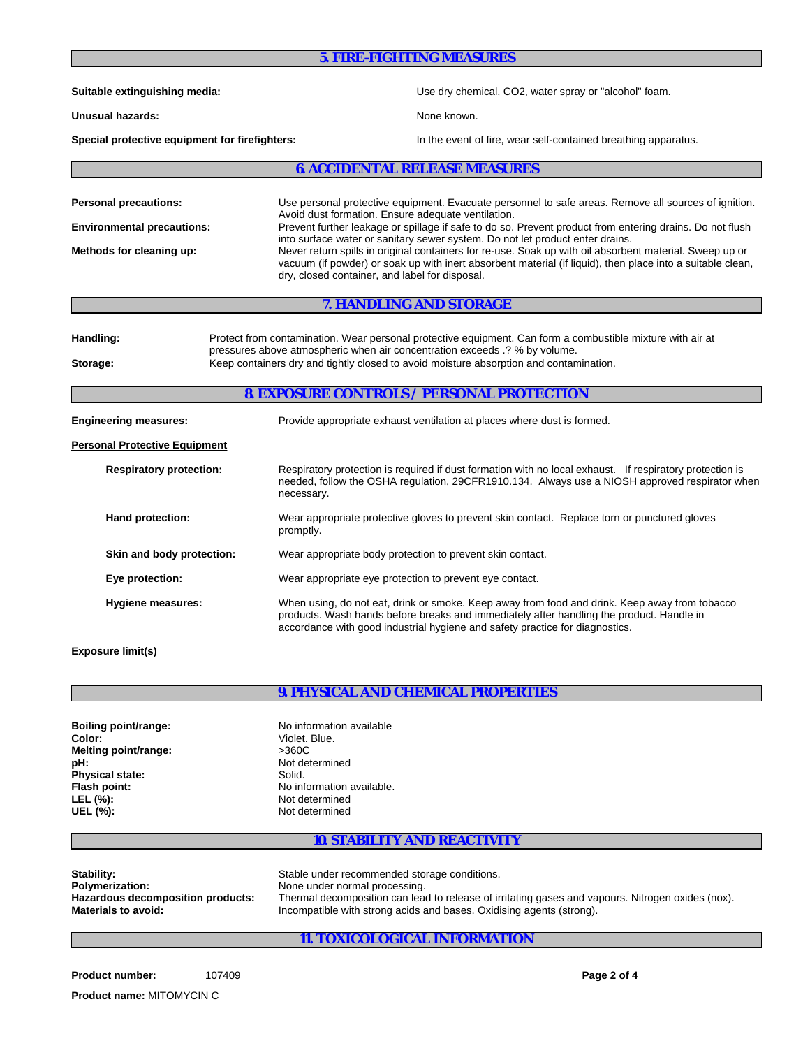| <b>5. FIRE-FIGHTING MEASURES</b>                                                              |                                                                                                                                                                                                                                                                                                                                                                                                                                                                                                                                                                                                                                    |  |  |  |
|-----------------------------------------------------------------------------------------------|------------------------------------------------------------------------------------------------------------------------------------------------------------------------------------------------------------------------------------------------------------------------------------------------------------------------------------------------------------------------------------------------------------------------------------------------------------------------------------------------------------------------------------------------------------------------------------------------------------------------------------|--|--|--|
| Suitable extinguishing media:                                                                 | Use dry chemical, CO2, water spray or "alcohol" foam.                                                                                                                                                                                                                                                                                                                                                                                                                                                                                                                                                                              |  |  |  |
| Unusual hazards:                                                                              | None known.                                                                                                                                                                                                                                                                                                                                                                                                                                                                                                                                                                                                                        |  |  |  |
| Special protective equipment for firefighters:                                                | In the event of fire, wear self-contained breathing apparatus.                                                                                                                                                                                                                                                                                                                                                                                                                                                                                                                                                                     |  |  |  |
|                                                                                               | <b>6. ACCIDENTAL RELEASE MEASURES</b>                                                                                                                                                                                                                                                                                                                                                                                                                                                                                                                                                                                              |  |  |  |
| <b>Personal precautions:</b><br><b>Environmental precautions:</b><br>Methods for cleaning up: | Use personal protective equipment. Evacuate personnel to safe areas. Remove all sources of ignition.<br>Avoid dust formation. Ensure adequate ventilation.<br>Prevent further leakage or spillage if safe to do so. Prevent product from entering drains. Do not flush<br>into surface water or sanitary sewer system. Do not let product enter drains.<br>Never return spills in original containers for re-use. Soak up with oil absorbent material. Sweep up or<br>vacuum (if powder) or soak up with inert absorbent material (if liquid), then place into a suitable clean,<br>dry, closed container, and label for disposal. |  |  |  |
|                                                                                               | 7. HANDLING AND STORAGE                                                                                                                                                                                                                                                                                                                                                                                                                                                                                                                                                                                                            |  |  |  |
| Handling:<br>Storage:                                                                         | Protect from contamination. Wear personal protective equipment. Can form a combustible mixture with air at<br>pressures above atmospheric when air concentration exceeds .? % by volume.<br>Keep containers dry and tightly closed to avoid moisture absorption and contamination.<br><b>8. EXPOSURE CONTROLS / PERSONAL PROTECTION</b>                                                                                                                                                                                                                                                                                            |  |  |  |
| <b>Engineering measures:</b>                                                                  | Provide appropriate exhaust ventilation at places where dust is formed.                                                                                                                                                                                                                                                                                                                                                                                                                                                                                                                                                            |  |  |  |
| <b>Personal Protective Equipment</b>                                                          |                                                                                                                                                                                                                                                                                                                                                                                                                                                                                                                                                                                                                                    |  |  |  |
| <b>Respiratory protection:</b>                                                                | Respiratory protection is required if dust formation with no local exhaust. If respiratory protection is<br>needed, follow the OSHA regulation, 29CFR1910.134. Always use a NIOSH approved respirator when<br>necessary.                                                                                                                                                                                                                                                                                                                                                                                                           |  |  |  |
| Hand protection:                                                                              | Wear appropriate protective gloves to prevent skin contact. Replace torn or punctured gloves<br>promptly.                                                                                                                                                                                                                                                                                                                                                                                                                                                                                                                          |  |  |  |
| Skin and body protection:                                                                     | Wear appropriate body protection to prevent skin contact.                                                                                                                                                                                                                                                                                                                                                                                                                                                                                                                                                                          |  |  |  |
| Eye protection:                                                                               | Wear appropriate eye protection to prevent eye contact.                                                                                                                                                                                                                                                                                                                                                                                                                                                                                                                                                                            |  |  |  |
| Hygiene measures:                                                                             | When using, do not eat, drink or smoke. Keep away from food and drink. Keep away from tobacco<br>products. Wash hands before breaks and immediately after handling the product. Handle in<br>accordance with good industrial hygiene and safety practice for diagnostics.                                                                                                                                                                                                                                                                                                                                                          |  |  |  |
| <b>Exposure limit(s)</b>                                                                      |                                                                                                                                                                                                                                                                                                                                                                                                                                                                                                                                                                                                                                    |  |  |  |

# **9. PHYSICAL AND CHEMICAL PROPERTIES**

| Boiling point/range:   | No information available  |
|------------------------|---------------------------|
| Color:                 | Violet. Blue.             |
| Melting point/range:   | >360C                     |
| pH:                    | Not determined            |
| <b>Physical state:</b> | Solid.                    |
| Flash point:           | No information available. |
| LEL (%):               | Not determined            |
| UEL (%):               | Not determined            |

# **10. STABILITY AND REACTIVITY**

| Stability:                        | Stable under recommended storage conditions.                                                      |
|-----------------------------------|---------------------------------------------------------------------------------------------------|
| <b>Polymerization:</b>            | None under normal processing.                                                                     |
| Hazardous decomposition products: | Thermal decomposition can lead to release of irritating gases and vapours. Nitrogen oxides (nox). |
| <b>Materials to avoid:</b>        | Incompatible with strong acids and bases. Oxidising agents (strong).                              |

# **11. TOXICOLOGICAL INFORMATION**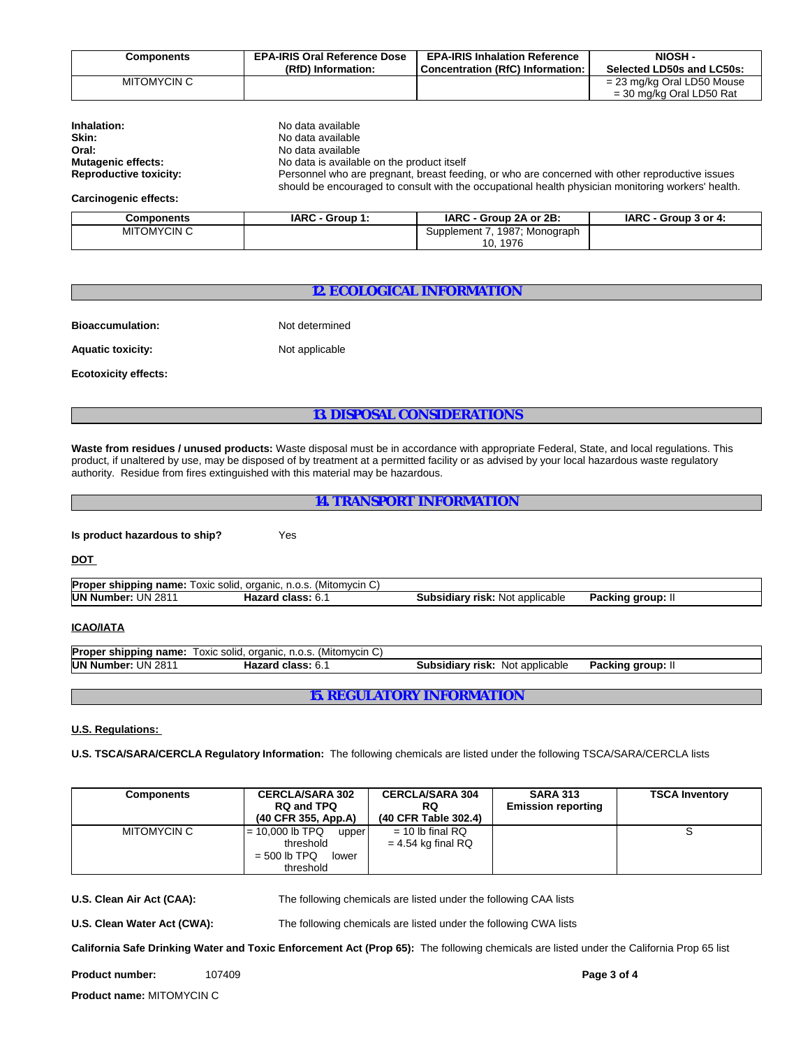| Components  | <b>EPA-IRIS Oral Reference Dose</b> | <b>EPA-IRIS Inhalation Reference</b> | NIOSH-                                                   |
|-------------|-------------------------------------|--------------------------------------|----------------------------------------------------------|
|             | (RfD) Information:                  | Concentration (RfC) Information:     | Selected LD50s and LC50s:                                |
| MITOMYCIN C |                                     |                                      | = 23 mg/kg Oral LD50 Mouse<br>$=$ 30 mg/kg Oral LD50 Rat |

| Inhalation:                   | No data available                                                                                                                                                                                     |
|-------------------------------|-------------------------------------------------------------------------------------------------------------------------------------------------------------------------------------------------------|
| Skin:                         | No data available                                                                                                                                                                                     |
| Oral:                         | No data available                                                                                                                                                                                     |
| <b>Mutagenic effects:</b>     | No data is available on the product itself                                                                                                                                                            |
| <b>Reproductive toxicity:</b> | Personnel who are pregnant, breast feeding, or who are concerned with other reproductive issues<br>should be encouraged to consult with the occupational health physician monitoring workers' health. |

**Carcinogenic effects:**

| Components         | <b>IARC - Group</b> | IARC - Group 2A or 2B:        | IARC - Group 3 or 4: |
|--------------------|---------------------|-------------------------------|----------------------|
| <b>MITOMYCIN C</b> |                     | 1987; Monograph<br>Supplement |                      |
|                    |                     | 1976<br>10.                   |                      |

## **12. ECOLOGICAL INFORMATION**

**Bioaccumulation:** Not determined

Aquatic toxicity: Not applicable

**Ecotoxicity effects:**

#### **13. DISPOSAL CONSIDERATIONS**

**Waste from residues / unused products:** Waste disposal must be in accordance with appropriate Federal, State, and local regulations. This product, if unaltered by use, may be disposed of by treatment at a permitted facility or as advised by your local hazardous waste regulatory authority. Residue from fires extinguished with this material may be hazardous.

**Is product hazardous to ship?** Yes

**DOT** 

|                           | <b>Proper shipping name:</b> Toxic solid, organic, n.o.s. (Mitomycin C) |                                        |                |  |
|---------------------------|-------------------------------------------------------------------------|----------------------------------------|----------------|--|
| <b>UN Number: UN 2811</b> | <b>Hazard class: 6.1</b>                                                | <b>Subsidiary risk:</b> Not applicable | Packing group: |  |

#### **ICAO/IATA**

| <b>Proper</b><br>shipping name: | organic.<br>solid<br>(Mitomvcin C)  <br>OXIC<br>n.o.s |                                                |                          |  |
|---------------------------------|-------------------------------------------------------|------------------------------------------------|--------------------------|--|
| <b>UN Number:</b><br>UN<br>281  | <b>Hazard class:</b><br>υ.                            | applicable<br>Not<br>Subsidiary<br><b>risk</b> | Packing<br>™ aroup.<br>. |  |

**15. REGULATORY INFORMATION**

#### **U.S. Regulations:**

**U.S. TSCA/SARA/CERCLA Regulatory Information:** The following chemicals are listed under the following TSCA/SARA/CERCLA lists

| <b>Components</b> | <b>CERCLA/SARA 302</b><br><b>RQ and TPQ</b><br>(40 CFR 355, App.A)              | <b>CERCLA/SARA 304</b><br>RQ<br>(40 CFR Table 302.4) | <b>SARA 313</b><br><b>Emission reporting</b> | <b>TSCA Inventory</b> |
|-------------------|---------------------------------------------------------------------------------|------------------------------------------------------|----------------------------------------------|-----------------------|
| MITOMYCIN C       | $= 10,000$ lb TPQ<br>upper<br>threshold<br>$=$ 500 lb TPQ<br>lower<br>threshold | $= 10$ lb final RQ<br>$= 4.54$ kg final RQ           |                                              |                       |

**U.S. Clean Air Act (CAA):** The following chemicals are listed under the following CAA lists

**U.S. Clean Water Act (CWA):** The following chemicals are listed under the following CWA lists

**California Safe Drinking Water and Toxic Enforcement Act (Prop 65):** The following chemicals are listed under the California Prop 65 list

**Product number:** 107409

**Product name:** MITOMYCIN C

 **Page 3 of 4**